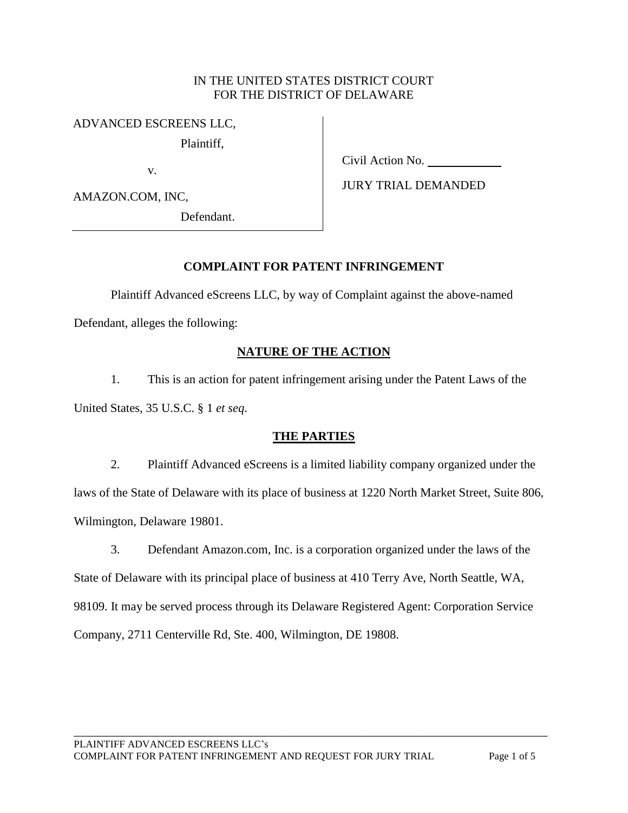### IN THE UNITED STATES DISTRICT COURT FOR THE DISTRICT OF DELAWARE

### ADVANCED ESCREENS LLC,

Plaintiff,

v.

AMAZON.COM, INC,

Defendant.

Civil Action No.

JURY TRIAL DEMANDED

# **COMPLAINT FOR PATENT INFRINGEMENT**

Plaintiff Advanced eScreens LLC, by way of Complaint against the above-named

Defendant, alleges the following:

# **NATURE OF THE ACTION**

1. This is an action for patent infringement arising under the Patent Laws of the United States, 35 U.S.C. § 1 *et seq*.

## **THE PARTIES**

2. Plaintiff Advanced eScreens is a limited liability company organized under the laws of the State of Delaware with its place of business at 1220 North Market Street, Suite 806, Wilmington, Delaware 19801.

3. Defendant Amazon.com, Inc. is a corporation organized under the laws of the

State of Delaware with its principal place of business at 410 Terry Ave, North Seattle, WA, 98109. It may be served process through its Delaware Registered Agent: Corporation Service Company, 2711 Centerville Rd, Ste. 400, Wilmington, DE 19808.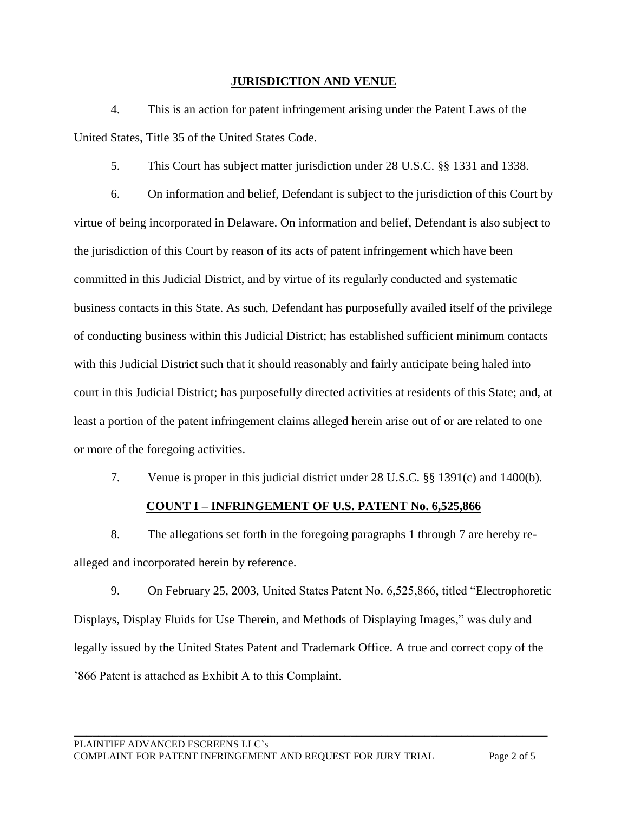### **JURISDICTION AND VENUE**

4. This is an action for patent infringement arising under the Patent Laws of the United States, Title 35 of the United States Code.

5. This Court has subject matter jurisdiction under 28 U.S.C. §§ 1331 and 1338.

6. On information and belief, Defendant is subject to the jurisdiction of this Court by virtue of being incorporated in Delaware. On information and belief, Defendant is also subject to the jurisdiction of this Court by reason of its acts of patent infringement which have been committed in this Judicial District, and by virtue of its regularly conducted and systematic business contacts in this State. As such, Defendant has purposefully availed itself of the privilege of conducting business within this Judicial District; has established sufficient minimum contacts with this Judicial District such that it should reasonably and fairly anticipate being haled into court in this Judicial District; has purposefully directed activities at residents of this State; and, at least a portion of the patent infringement claims alleged herein arise out of or are related to one or more of the foregoing activities.

7. Venue is proper in this judicial district under 28 U.S.C. §§ 1391(c) and 1400(b).

### **COUNT I – INFRINGEMENT OF U.S. PATENT No. 6,525,866**

8. The allegations set forth in the foregoing paragraphs 1 through 7 are hereby realleged and incorporated herein by reference.

9. On February 25, 2003, United States Patent No. 6,525,866, titled "Electrophoretic Displays, Display Fluids for Use Therein, and Methods of Displaying Images," was duly and legally issued by the United States Patent and Trademark Office. A true and correct copy of the '866 Patent is attached as Exhibit A to this Complaint.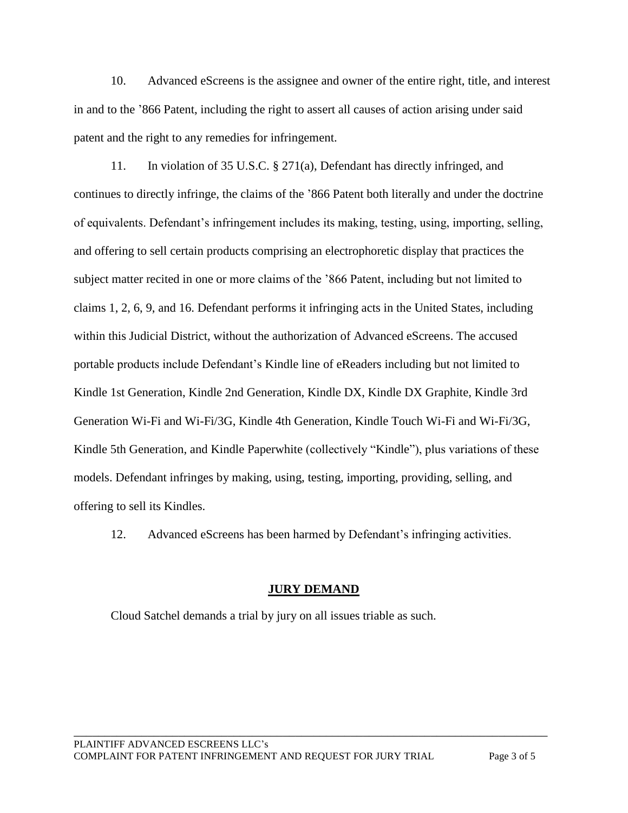10. Advanced eScreens is the assignee and owner of the entire right, title, and interest in and to the '866 Patent, including the right to assert all causes of action arising under said patent and the right to any remedies for infringement.

11. In violation of 35 U.S.C. § 271(a), Defendant has directly infringed, and continues to directly infringe, the claims of the '866 Patent both literally and under the doctrine of equivalents. Defendant's infringement includes its making, testing, using, importing, selling, and offering to sell certain products comprising an electrophoretic display that practices the subject matter recited in one or more claims of the '866 Patent, including but not limited to claims 1, 2, 6, 9, and 16. Defendant performs it infringing acts in the United States, including within this Judicial District, without the authorization of Advanced eScreens. The accused portable products include Defendant's Kindle line of eReaders including but not limited to Kindle 1st Generation, Kindle 2nd Generation, Kindle DX, Kindle DX Graphite, Kindle 3rd Generation Wi-Fi and Wi-Fi/3G, Kindle 4th Generation, Kindle Touch Wi-Fi and Wi-Fi/3G, Kindle 5th Generation, and Kindle Paperwhite (collectively "Kindle"), plus variations of these models. Defendant infringes by making, using, testing, importing, providing, selling, and offering to sell its Kindles.

12. Advanced eScreens has been harmed by Defendant's infringing activities.

## **JURY DEMAND**

\_\_\_\_\_\_\_\_\_\_\_\_\_\_\_\_\_\_\_\_\_\_\_\_\_\_\_\_\_\_\_\_\_\_\_\_\_\_\_\_\_\_\_\_\_\_\_\_\_\_\_\_\_\_\_\_\_\_\_\_\_\_\_\_\_\_\_\_\_\_\_\_\_\_\_\_\_

Cloud Satchel demands a trial by jury on all issues triable as such.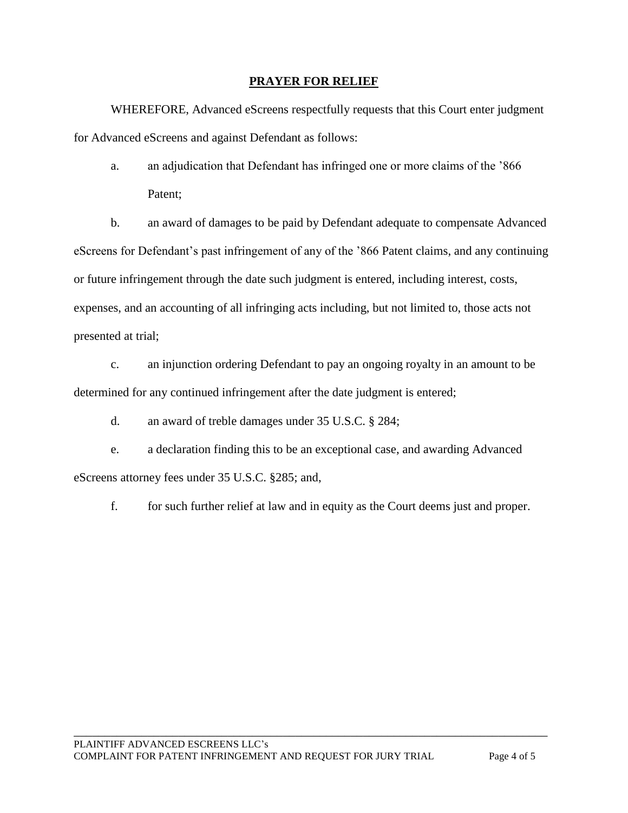### **PRAYER FOR RELIEF**

WHEREFORE, Advanced eScreens respectfully requests that this Court enter judgment for Advanced eScreens and against Defendant as follows:

a. an adjudication that Defendant has infringed one or more claims of the '866 Patent;

b. an award of damages to be paid by Defendant adequate to compensate Advanced eScreens for Defendant's past infringement of any of the '866 Patent claims, and any continuing or future infringement through the date such judgment is entered, including interest, costs, expenses, and an accounting of all infringing acts including, but not limited to, those acts not presented at trial;

c. an injunction ordering Defendant to pay an ongoing royalty in an amount to be determined for any continued infringement after the date judgment is entered;

d. an award of treble damages under 35 U.S.C. § 284;

e. a declaration finding this to be an exceptional case, and awarding Advanced eScreens attorney fees under 35 U.S.C. §285; and,

f. for such further relief at law and in equity as the Court deems just and proper.